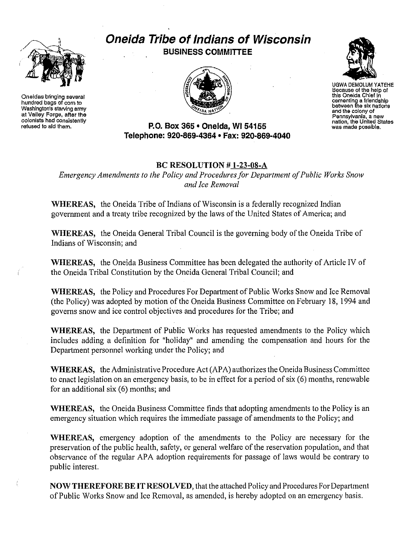

**Oneidas bringing several hundred bags of corn to Washington's starving army at Valley Forgej after the colonists had consistently** refused to aid them.

**Oneida Tribe of Indians of Wisconsin BUSINESS COMMITIEE**





UGWA DEMDLUM YATEHE **Because of the help ot** this Oneida Chief in cementing a friendship<br>between the six nations<br>and the coiony of<br>Pennsylvania, a new<br>nation, the United States **was made possible.**

#### **P.O. Box 365 • Oneida,** WI 54155 **Telephone: 920-869-4364 • Fax: 920-869-4040**

## **Be RESOLUTION # 1-23-08-A**

*Emergency Amendments to the Policy and Procedures for Department of Public Works Snow and Ice Removal*

**WHEREAS.** the Oneida Tribe of Indians of Wisconsin is a federally recognized Indian government and a treaty tribe recognized by the laws of the United States of America; and

WHEREAS, the Oneida General Tribal Council is the governing body of the Oneida Tribe of Indians of Wisconsin; and

**WHEREAS,** the Oneida Business Committee has been delegated the authority of Article IV of the Oneida Tribal Constitution by the Oneida General Tribal Council; and

**WHEREAS,** the Policy and Procedures For Department of Public Works Snow and Ice Removal (the Policy) was adopted by motion of the Oneida Business Committee on February 18, 1994 and governs snow and ice control objectives and procedures for the Tribe; and

**WHEREAS,** the Department of Public Works has requested amendments to the Policy which includes adding a definition for "holiday" and amending the compensation and hours for the Department personnel working under the Policy; and

**WHEREAS,** the Administrative Procedure Act (APA) authorizes the Oneida Business Committee to enact legislation on an emergency basis, to be in effect for a period of six (6) months, renewable for an additional six (6) months; and

**WHEREAS,** the Oneida Business Committee finds that adopting amendments to the Policy is an emergency situation which requires the immediate passage of amendments to the Policy; and

**WHEREAS,** emergency adoption of the amendments to the Policy are necessary for the preservation of the public health, safety, or general welfare of the reservation population, and that observance of the regular APA adoption requirements for passage of laws would be contrary to public interest.

**NOW THEREFOREBEIT RESOLVED,** that the attached Policy and Procedures For Department of Public Works Snow and Ice Removal, as amended, is hereby adopted on an emergency basis.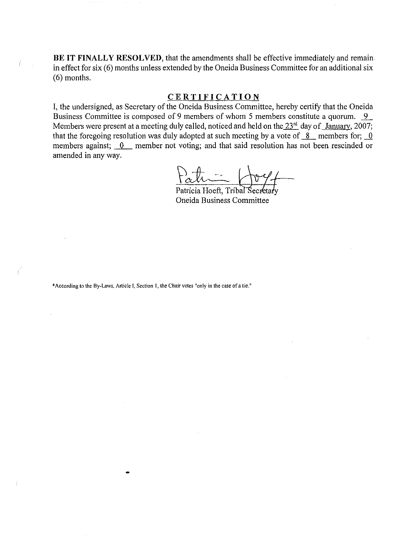**BE** IT **FINALLY RESOLVED**, that the amendments shall be effective immediately and remainin effect for six (6) months unless extended by the Oneida Business Committee for an additional six (6) months.

### **CERTIFICATION**

I, the undersigned, as Secretary of the Oneida Business Committee, hereby certify that the Oneida Business Committee is composed of 9 members of whom 5 members constitute a quorum. 9 Members were present at a meeting duly called, noticed and held on the  $23<sup>rd</sup>$  day of January, 2007; that the foregoing resolution was duly adopted at such meeting by a vote of  $\overline{8}$  members for;  $\overline{0}$ members against;  $0$  member not voting; and that said resolution has not been rescinded or amended in any way.

Patricia Hoeft, Tribal Secretary Oneida Business Committee

**\*According to the** By·Laws. **Article I, Section I, the Chair votes "only in the case of a tie."**

Ť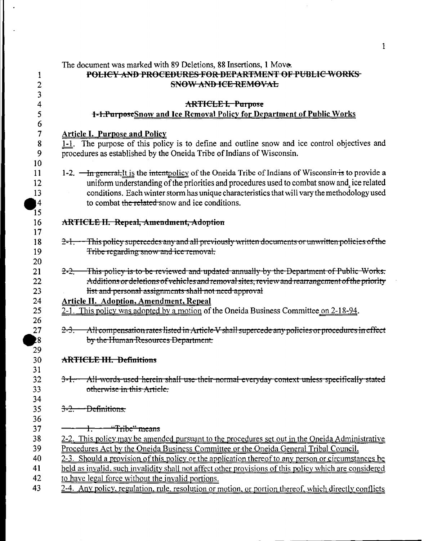|                          | The document was marked with 89 Deletions, 88 Insertions, 1 Move.                                                                                                      |
|--------------------------|------------------------------------------------------------------------------------------------------------------------------------------------------------------------|
| $\mathbf 1$              | POLICY AND PROCEDURES FOR DEPARTMENT OF PUBLIC WORKS                                                                                                                   |
| $\overline{2}$           | SNOW AND ICE REMOVAL                                                                                                                                                   |
| 3                        |                                                                                                                                                                        |
| 4                        | <b>ARTICLE I. Purpose</b>                                                                                                                                              |
| 5                        | 1-1. PurposeSnow and Ice Removal Policy for Department of Public Works                                                                                                 |
| 6                        |                                                                                                                                                                        |
| $\overline{\mathcal{I}}$ | <b>Article I. Purpose and Policy</b>                                                                                                                                   |
| 8<br>9                   | 1-1. The purpose of this policy is to define and outline snow and ice control objectives and<br>procedures as established by the Oneida Tribe of Indians of Wisconsin. |
| 10                       |                                                                                                                                                                        |
| 11                       | 1-2. $\frac{m}{\pi}$ general, It is the intentpolicy of the Oneida Tribe of Indians of Wisconsin is to provide a                                                       |
| 12                       | uniform understanding of the priorities and procedures used to combat snow and ice related                                                                             |
| 13                       | conditions. Each winter storm has unique characteristics that will vary the methodology used                                                                           |
| 4                        | to combat the related snow and ice conditions.                                                                                                                         |
| 15                       |                                                                                                                                                                        |
| 16                       | <b>ARTICLE II. Repeal, Amendment, Adoption</b>                                                                                                                         |
| 17                       |                                                                                                                                                                        |
| 18                       | 2-1. This policy supercedes any and all previously written documents or unwritten policies of the                                                                      |
| 19                       | Tribe regarding snow and ice removal.                                                                                                                                  |
| 20                       |                                                                                                                                                                        |
| 21                       | This policy is to be reviewed and updated annually by the Department of Public Works.<br><del>2-2.</del>                                                               |
| 22                       | Additions or deletions of vehicles and removal sites, review and rearrangement of the priority                                                                         |
| 23<br>24                 | list and personal assignments shall not need approval                                                                                                                  |
| 25                       | <b>Article II. Adoption, Amendment, Repeal</b>                                                                                                                         |
| 26                       | 2-1. This policy was adopted by a motion of the Oneida Business Committee on 2-18-94.                                                                                  |
| 27                       | All compensation rates listed in Article V shall supercede any policies or procedures in effect<br><del>2-3.</del>                                                     |
| 28                       | by the Human Resources Department.                                                                                                                                     |
| 29                       |                                                                                                                                                                        |
| 30                       | <b>ARTICLE III. Definitions</b>                                                                                                                                        |
| 31                       |                                                                                                                                                                        |
| 32                       | All-words used herein shall use their normal everyday context unless specifically stated<br><del>3-1. –</del>                                                          |
| 33                       | otherwise in this Article.                                                                                                                                             |
| 34                       |                                                                                                                                                                        |
| 35                       | $3 - 2 -$<br>- <del>Definitions,</del>                                                                                                                                 |
| 36                       |                                                                                                                                                                        |
| 37                       | 1. Tribe" means                                                                                                                                                        |
| 38                       | 2-2. This policy may be amended pursuant to the procedures set out in the Oneida Administrative                                                                        |
| 39                       | <u>Procedures Act by the Oneida Business Committee or the Oneida General Tribal Council.</u>                                                                           |
| 40                       | 2-3. Should a provision of this policy or the application thereof to any person or circumstances be                                                                    |
| 41                       | held as invalid, such invalidity shall not affect other provisions of this policy which are considered                                                                 |
| 42                       | to have legal force without the invalid portions.                                                                                                                      |
| 43                       | 2-4. Any policy, regulation, rule, resolution or motion, or portion thereof, which directly conflicts                                                                  |
|                          |                                                                                                                                                                        |

 $\ddot{\phantom{a}}$ 

 $\sim$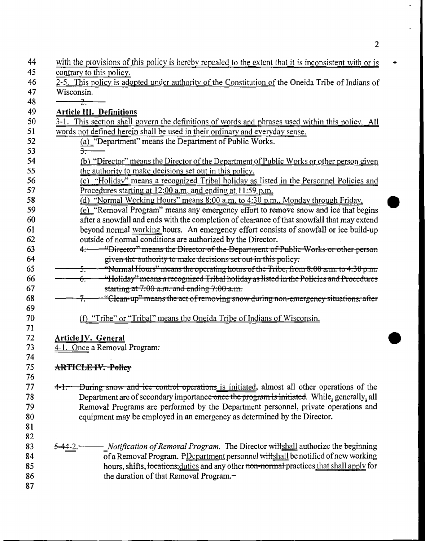|            | with the provisions of this policy is hereby repealed to the extent that it is inconsistent with or is |
|------------|--------------------------------------------------------------------------------------------------------|
|            | contrary to this policy.                                                                               |
|            | 2-5. This policy is adopted under authority of the Constitution of the Oneida Tribe of Indians of      |
| Wisconsin. |                                                                                                        |
|            | $\frac{1}{2}$                                                                                          |
|            | <b>Article III. Definitions</b>                                                                        |
|            | 3-1. This section shall govern the definitions of words and phrases used within this policy. All       |
|            | words not defined herein shall be used in their ordinary and everyday sense.                           |
|            | (a) "Department" means the Department of Public Works.                                                 |
|            | $\overline{\mathbf{3}}$ .                                                                              |
|            | (b) "Director" means the Director of the Department of Public Works or other person given              |
|            | the authority to make decisions set out in this policy.                                                |
|            | (c) "Holiday" means a recognized Tribal holiday as listed in the Personnel Policies and                |
|            | Procedures starting at 12:00 a.m. and ending at 11:59 p.m.                                             |
|            | (d) "Normal Working Hours" means 8:00 a.m. to 4:30 p.m., Monday through Friday.                        |
|            | (e) "Removal Program" means any emergency effort to remove snow and ice that begins                    |
|            | after a snowfall and ends with the completion of clearance of that snowfall that may extend            |
|            | beyond normal working hours. An emergency effort consists of snowfall or ice build-up                  |
|            | outside of normal conditions are authorized by the Director.                                           |
|            | "Director" means the Director of the Department of Public Works or other person<br>4.                  |
|            | given the authority to make decisions set out in this policy.                                          |
|            | "Normal Hours" means the operating hours of the Tribe, from $8:00$ a.m. to $4:30$ p.m.<br>÷.           |
|            | "Holiday" means a recognized Tribal holiday as listed in the Policies and Procedures<br>ᡠ.             |
|            | starting at $7:00$ a.m. and ending $7:00$ a.m.                                                         |
|            | "Clean-up" means the act of removing snow during non-emergency situations, after                       |
|            | (f) "Tribe" or "Tribal" means the Oneida Tribe of Indians of Wisconsin.                                |
|            | Article IV. General                                                                                    |
|            | 4-1. Once a Removal Program.                                                                           |
|            |                                                                                                        |
|            | <b>ARTICLE IV. Policy</b>                                                                              |
|            |                                                                                                        |
| $4 - 1 -$  | During snow and ice control operations is initiated, almost all other operations of the                |
|            | Department are of secondary importance once the program is initiated. While, generally, all            |
|            | Removal Programs are performed by the Department personnel, private operations and                     |
|            | equipment may be employed in an emergency as determined by the Director.                               |
|            |                                                                                                        |
|            | - Notification of Removal Program. The Director willshall authorize the beginning                      |
|            | of a Removal Program. PDepartment personnel willshall be notified of new working                       |
|            | hours, shifts, locations, duties and any other non-normal practices that shall apply for               |
|            |                                                                                                        |
|            | the duration of that Removal Program.-                                                                 |

l,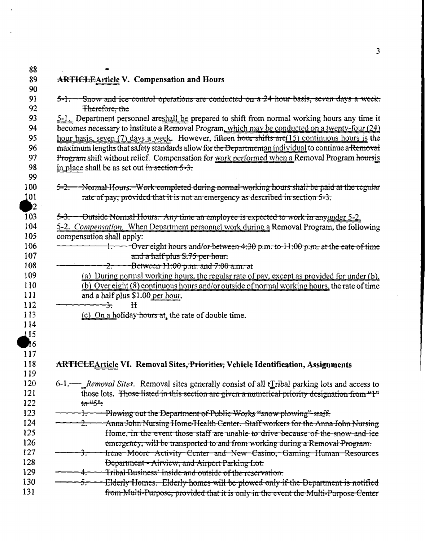| ARTICLEArticle V. Compensation and Hours                                                                                                                             |
|----------------------------------------------------------------------------------------------------------------------------------------------------------------------|
|                                                                                                                                                                      |
| $5-1$ . Snow and ice control operations are conducted on $a$ 24 hour basis, seven days a week.                                                                       |
| Therefore, the                                                                                                                                                       |
| 5-1. Department personnel areshall be prepared to shift from normal working hours any time it                                                                        |
| becomes necessary to institute a Removal Program, which may be conducted on a twenty-four (24)                                                                       |
| hour basis, seven (7) days a week. However, fifteen hour shifts are (15) continuous hours is the                                                                     |
| maximum lengths that safety standards allow for the Departmentan individual to continue a Removal                                                                    |
| Program shift without relief. Compensation for work performed when a Removal Program hoursis                                                                         |
| in place shall be as set out in section $5-3$ .                                                                                                                      |
| 5-2. Normal Hours. Work completed during normal working hours shall be paid at the regular                                                                           |
| rate of pay, provided that it is not an emergency as described in section 5-3.                                                                                       |
|                                                                                                                                                                      |
| 5-3. - Outside Normal Hours. Any time an employee is expected to work in any under 5-2.                                                                              |
| 5-2. Compensation. When Department personnel work during a Removal Program, the following                                                                            |
| compensation shall apply:                                                                                                                                            |
| $\pm$ $\rightarrow$ Over eight hours and/or between 4:30 p.m. to 11:00 p.m. at the eate of time                                                                      |
| and a half plus \$.75 per hour.                                                                                                                                      |
| Between $H:00$ p.m. and $7:00$ a.m. at                                                                                                                               |
| (a) During normal working hours, the regular rate of pay, except as provided for under (b).                                                                          |
| (b) Over eight (8) continuous hours and/or outside of normal working hours, the rate of time                                                                         |
| and a half plus \$1.00 per hour.<br>H<br>$\div$                                                                                                                      |
| (c) On a holiday hours $at_1$ the rate of double time.                                                                                                               |
|                                                                                                                                                                      |
|                                                                                                                                                                      |
|                                                                                                                                                                      |
|                                                                                                                                                                      |
| <b>ARTICLEArticle VI. Removal Sites, Priorities, Vehicle Identification, Assignments</b>                                                                             |
|                                                                                                                                                                      |
| 6-1. Removal Sites. Removal sites generally consist of all tIribal parking lots and access to                                                                        |
| those lots. Those listed in this section are given a numerical priority designation from "I"                                                                         |
| بتهنيها                                                                                                                                                              |
| Plowing out the Department of Public Works "snow plowing" staff.                                                                                                     |
| Anna John Nursing Home/Health Center. Staff workers for the Anna John Nursing<br>2.                                                                                  |
| Home, in the event those staff are unable to drive because of the snow and ice                                                                                       |
| emergency, will be transported to and from working during a Removal Program.                                                                                         |
|                                                                                                                                                                      |
|                                                                                                                                                                      |
| Department - Airview, and Airport Parking Lot.                                                                                                                       |
| Irene Moore Activity Center and New Casino, Gaming Human Resources<br>Tribal Business' inside and outside of the reservation.                                        |
| Elderly Homes. Elderly homes will be plowed only if the Department is notified<br>from Multi-Purpose, provided that it is only in the event the Multi-Purpose Center |

 $\overline{\mathbf{3}}$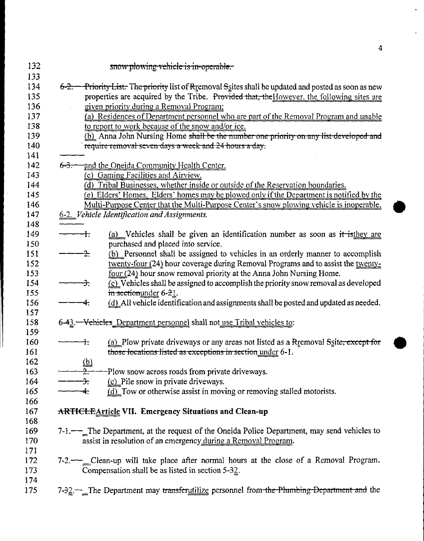|           | snow plowing vehicle is in-operable.                                                                                                                          |
|-----------|---------------------------------------------------------------------------------------------------------------------------------------------------------------|
| $6 - 2 -$ | Priority List. The priority list of Rtemoval Ssites shall be updated and posted as soon as new                                                                |
|           | properties are acquired by the Tribe. Provided that, the However, the following sites are                                                                     |
|           | given priority during a Removal Program:                                                                                                                      |
|           | (a) Residences of Department personnel who are part of the Removal Program and unable                                                                         |
|           | to report to work because of the snow and/or ice.                                                                                                             |
|           | (b) Anna John Nursing Home shall be the number one priority on any list-developed and                                                                         |
|           | require removal seven days a week and 24 hours a day.                                                                                                         |
| $6 - 3 -$ | and the Oneida Community Health Center.                                                                                                                       |
|           | (c) Gaming Facilities and Airview.                                                                                                                            |
|           | (d) Tribal Businesses, whether inside or outside of the Reservation boundaries.                                                                               |
|           | (e) Elders' Homes. Elders' homes may be plowed only if the Department is notified by the                                                                      |
|           | Multi-Purpose Center that the Multi-Purpose Center's snow plowing vehicle is inoperable.                                                                      |
|           | 6-2. Vehicle Identification and Assignments.                                                                                                                  |
|           | (a) Vehicles shall be given an identification number as soon as it is they are<br>ᆠ                                                                           |
|           | purchased and placed into service.                                                                                                                            |
|           | (b) Personnel shall be assigned to vehicles in an orderly manner to accomplish<br>- <del>2.</del>                                                             |
|           | twenty-four (24) hour coverage during Removal Programs and to assist the twenty-                                                                              |
|           | four (24) hour snow removal priority at the Anna John Nursing Home.                                                                                           |
|           | (c) Vehicles shall be assigned to accomplish the priority snow removal as developed<br>÷.                                                                     |
|           | in sectionunder 6-21.                                                                                                                                         |
|           | (d) All vehicle identification and assignments shall be posted and updated as needed.<br>4.                                                                   |
|           | 6-43. - Vehicles_Department personnel shall not use Tribal vehicles to:                                                                                       |
|           | (a) Plow private driveways or any areas not listed as a Rremoval Ssite, except for<br>┽                                                                       |
|           | those locations listed as exceptions in section under 6-1.                                                                                                    |
|           | $\frac{\underline{(b)}}{2}$                                                                                                                                   |
|           | -Plow snow across roads from private driveways.<br>∼.                                                                                                         |
|           | (c) Pile snow in private driveways.<br>子.                                                                                                                     |
|           | (d) Tow or otherwise assist in moving or removing stalled motorists.<br>4.                                                                                    |
|           | <b>ARTICLEArticle VII. Emergency Situations and Clean-up</b>                                                                                                  |
|           |                                                                                                                                                               |
|           | 7-1.—— The Department, at the request of the Oneida Police Department, may send vehicles to<br>assist in resolution of an emergency during a Removal Program. |
|           | 7-2.—— Clean-up will take place after normal hours at the close of a Removal Program.                                                                         |
|           | Compensation shall be as listed in section $5-32$ .                                                                                                           |
|           | 7-32. <sup>--</sup> The Department may transferutilize personnel from the Plumbing Department and the                                                         |
|           |                                                                                                                                                               |

 $\ddot{\phantom{0}}$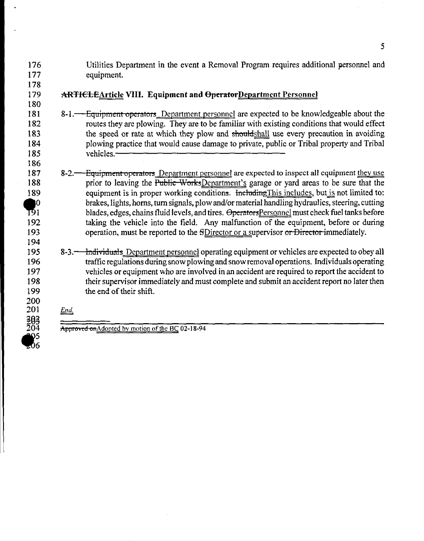- l76 l77 Utilities Department in the event a Removal Program requires additional personnel and equipment.
- l78 179 180

194

200 20l 2€)§ 204 የ5<br>06

#### **ARTICLE**Article VIII. Equipment and OperatorDepartment Personnel

- 181 182 183 184 185 8-1.—Equipment operators Department personnel are expected to be knowledgeable about the routes they are plowing. They are to be familiar with existing conditions that would effect the speed or rate at which they plow and shouldshall use every precaution in avoiding plowing practice that would cause damage to private, public or Tribal property and Tribal vehicles.
- 187 188 189  $\sum_{191}$ 192 193 8-2.—<del>Equipment operators</del> Department personnel are expected to inspect all equipment they use prior to leaving the Public WorksDepartment's garage or yard areas to be sure that the equipment is in proper working conditions. Including This includes, but is not limited to: brakes, lights, horns, turn signals, plow and/or material handling hydraulics, steering, cutting blades, edges, chains fluid levels, and tires. OperatorsPersonnel must check fuel tanks before taking the vehicle into the field. Any malfunction of the equipment, before or during operation, must be reported to the SDirector or a supervisor or Director immediately.
- 195 196 197 198 199 8-3.—<del>Individuals</del> Department personnel operating equipment or vehicles are expected to obey all traffic regulations during snow plowing and snowremoval operations. Individuals operating vehicles or equipment who are involved in an accident are required to report the accident to their supervisor immediately and must complete and submit an accident report no later then the end of their shift.
	- *End* =

Approved onAdopted by motion of the BC 02-18-94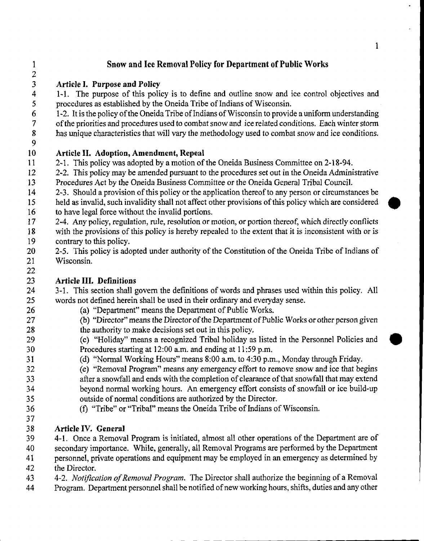| $\mathbf{1}$<br>$\overline{c}$ | Snow and Ice Removal Policy for Department of Public Works                                             |
|--------------------------------|--------------------------------------------------------------------------------------------------------|
| $\overline{\mathbf{3}}$        | Article I. Purpose and Policy                                                                          |
| $\overline{\mathbf{4}}$        | 1-1. The purpose of this policy is to define and outline snow and ice control objectives and           |
| $\mathfrak{s}$                 | procedures as established by the Oneida Tribe of Indians of Wisconsin.                                 |
| $\boldsymbol{6}$               | 1-2. It is the policy of the Oneida Tribe of Indians of Wisconsin to provide a uniform understanding   |
| $\overline{7}$                 | of the priorities and procedures used to combat snow and ice related conditions. Each winter storm     |
| $\pmb{8}$                      | has unique characteristics that will vary the methodology used to combat snow and ice conditions.      |
| 9                              |                                                                                                        |
| 10                             | Article II. Adoption, Amendment, Repeal                                                                |
| 11                             | 2-1. This policy was adopted by a motion of the Oneida Business Committee on 2-18-94.                  |
| 12                             | 2-2. This policy may be amended pursuant to the procedures set out in the Oneida Administrative        |
| 13                             | Procedures Act by the Oneida Business Committee or the Oneida General Tribal Council.                  |
| 14                             | 2-3. Should a provision of this policy or the application thereof to any person or circumstances be    |
| 15                             | held as invalid, such invalidity shall not affect other provisions of this policy which are considered |
| 16                             | to have legal force without the invalid portions.                                                      |
| 17                             | 2-4. Any policy, regulation, rule, resolution or motion, or portion thereof, which directly conflicts  |
| 18                             | with the provisions of this policy is hereby repealed to the extent that it is inconsistent with or is |
| 19                             | contrary to this policy.                                                                               |
| 20                             | 2-5. This policy is adopted under authority of the Constitution of the Oneida Tribe of Indians of      |
| 21                             | Wisconsin.                                                                                             |
| 22<br>23                       | <b>Article III. Definitions</b>                                                                        |
| 24                             | 3-1. This section shall govern the definitions of words and phrases used within this policy. All       |
| 25                             | words not defined herein shall be used in their ordinary and everyday sense.                           |
| 26                             | (a) "Department" means the Department of Public Works.                                                 |
| 27                             | (b) "Director" means the Director of the Department of Public Works or other person given              |
| 28                             | the authority to make decisions set out in this policy.                                                |
| 29                             | (c) "Holiday" means a recognized Tribal holiday as listed in the Personnel Policies and                |
| 30                             | Procedures starting at 12:00 a.m. and ending at 11:59 p.m.                                             |
| 31                             | (d) "Normal Working Hours" means 8:00 a.m. to 4:30 p.m., Monday through Friday.                        |
| 32                             | (e) "Removal Program" means any emergency effort to remove snow and ice that begins                    |
| 33                             | after a snowfall and ends with the completion of clearance of that snowfall that may extend            |
| 34                             | beyond normal working hours. An emergency effort consists of snowfall or ice build-up                  |
| 35                             | outside of normal conditions are authorized by the Director.                                           |

36 (f) "Tribe" or "Tribal" means the Oneida Tribe of Indians of Wisconsin. 

# 38 Article IV. General<br>39 4-1. Once a Remova

 4-I. Once a Removal Program is initiated, almost all other operations of the Department are of secondary importance. While, generally, all Removal Programs are performed by the Department personnel, private operations and equipment may be employed in an emergency as determined by

- the Director.
- 43 4-2. *Notification of Removal Program*. The Director shall authorize the beginning of a Removal
- Program. Department personnel shall be notified ofnew working hours, shifts, duties and any other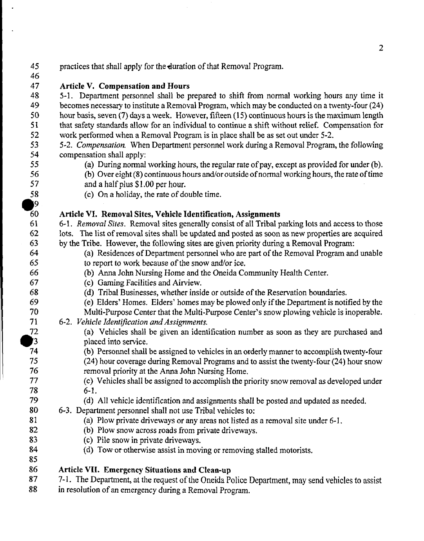| 45             | practices that shall apply for the duration of that Removal Program.                               |
|----------------|----------------------------------------------------------------------------------------------------|
| 46             |                                                                                                    |
| 47             | Article V. Compensation and Hours                                                                  |
| 48             | 5-1. Department personnel shall be prepared to shift from normal working hours any time it         |
| 49             | becomes necessary to institute a Removal Program, which may be conducted on a twenty-four (24)     |
| 50             | hour basis, seven (7) days a week. However, fifteen (15) continuous hours is the maximum length    |
| 51             | that safety standards allow for an individual to continue a shift without relief. Compensation for |
| 52             | work performed when a Removal Program is in place shall be as set out under 5-2.                   |
| 53             | 5-2. Compensation. When Department personnel work during a Removal Program, the following          |
| 54             | compensation shall apply:                                                                          |
| 55             | (a) During normal working hours, the regular rate of pay, except as provided for under (b).        |
| 56             | (b) Over eight (8) continuous hours and/or outside of normal working hours, the rate of time       |
| 57             | and a half plus \$1.00 per hour.                                                                   |
| 58             | (c) On a holiday, the rate of double time.                                                         |
| $\mathbf{P}$   |                                                                                                    |
| 60             | Article VI. Removal Sites, Vehicle Identification, Assignments                                     |
| 61             | 6-1. Removal Sites. Removal sites generally consist of all Tribal parking lots and access to those |
| 62             | lots. The list of removal sites shall be updated and posted as soon as new properties are acquired |
| 63             | by the Tribe. However, the following sites are given priority during a Removal Program:            |
| 64             | (a) Residences of Department personnel who are part of the Removal Program and unable              |
| 65             | to report to work because of the snow and/or ice.                                                  |
| 66             | (b) Anna John Nursing Home and the Oneida Community Health Center.                                 |
| 67             | (c) Gaming Facilities and Airview.                                                                 |
| 68             | (d) Tribal Businesses, whether inside or outside of the Reservation boundaries.                    |
| 69             | (e) Elders' Homes. Elders' homes may be plowed only if the Department is notified by the           |
| 70             | Multi-Purpose Center that the Multi-Purpose Center's snow plowing vehicle is inoperable.           |
| 71             | 6-2. Vehicle Identification and Assignments.                                                       |
| 72             | (a) Vehicles shall be given an identification number as soon as they are purchased and             |
| $\mathbf{J}$ 3 | placed into service.                                                                               |
| 74             | (b) Personnel shall be assigned to vehicles in an orderly manner to accomplish twenty-four         |
| 75             | (24) hour coverage during Removal Programs and to assist the twenty-four (24) hour snow            |
| 76             | removal priority at the Anna John Nursing Home.                                                    |
| 77             | (c) Vehicles shall be assigned to accomplish the priority snow removal as developed under          |
| 78             | $6-1.$                                                                                             |
| 79             | (d) All vehicle identification and assignments shall be posted and updated as needed.              |
| 80             | 6-3. Department personnel shall not use Tribal vehicles to:                                        |
| 81             | (a) Plow private driveways or any areas not listed as a removal site under 6-1.                    |
| 82             | (b) Plow snow across roads from private driveways.                                                 |
| 83             | (c) Pile snow in private driveways.                                                                |
| 84             | (d) Tow or otherwise assist in moving or removing stalled motorists.                               |
| 85             |                                                                                                    |
| 86             | <b>Article VII. Emergency Situations and Clean-up</b>                                              |
| 87             | 7-1. The Department, at the request of the Oneida Police Department, may send vehicles to assist   |
| 88             | in resolution of an emergency during a Removal Program.                                            |
|                |                                                                                                    |